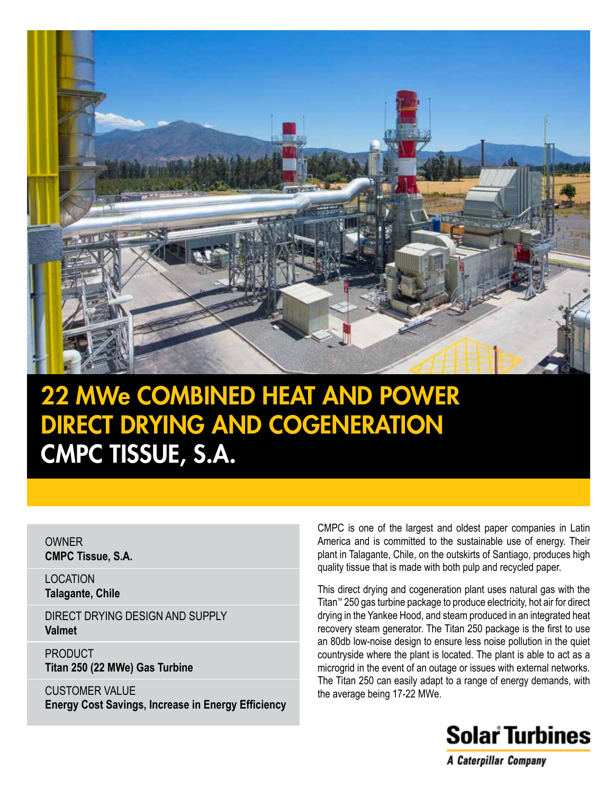

# 22 MWe COMBINED HEAT AND POWER DIRECT DRYING AND COGENERATION CMPC TISSUE, S.A.

OWNER **CMPC Tissue, S.A.**

LOCATION **Talagante, Chile**

DIRECT DRYING DESIGN AND SUPPLY **Valmet**

PRODUCT **Titan 250 (22 MWe) Gas Turbine**

CUSTOMER VALUE **Energy Cost Savings, Increase in Energy Efficiency** CMPC is one of the largest and oldest paper companies in Latin America and is committed to the sustainable use of energy. Their plant in Talagante, Chile, on the outskirts of Santiago, produces high quality tissue that is made with both pulp and recycled paper.

This direct drying and cogeneration plant uses natural gas with the Titan™ 250 gas turbine package to produce electricity, hot air for direct drying in the Yankee Hood, and steam produced in an integrated heat recovery steam generator. The Titan 250 package is the first to use an 80db low-noise design to ensure less noise pollution in the quiet countryside where the plant is located. The plant is able to act as a microgrid in the event of an outage or issues with external networks. The Titan 250 can easily adapt to a range of energy demands, with the average being 17-22 MWe.



A Caterpillar Company